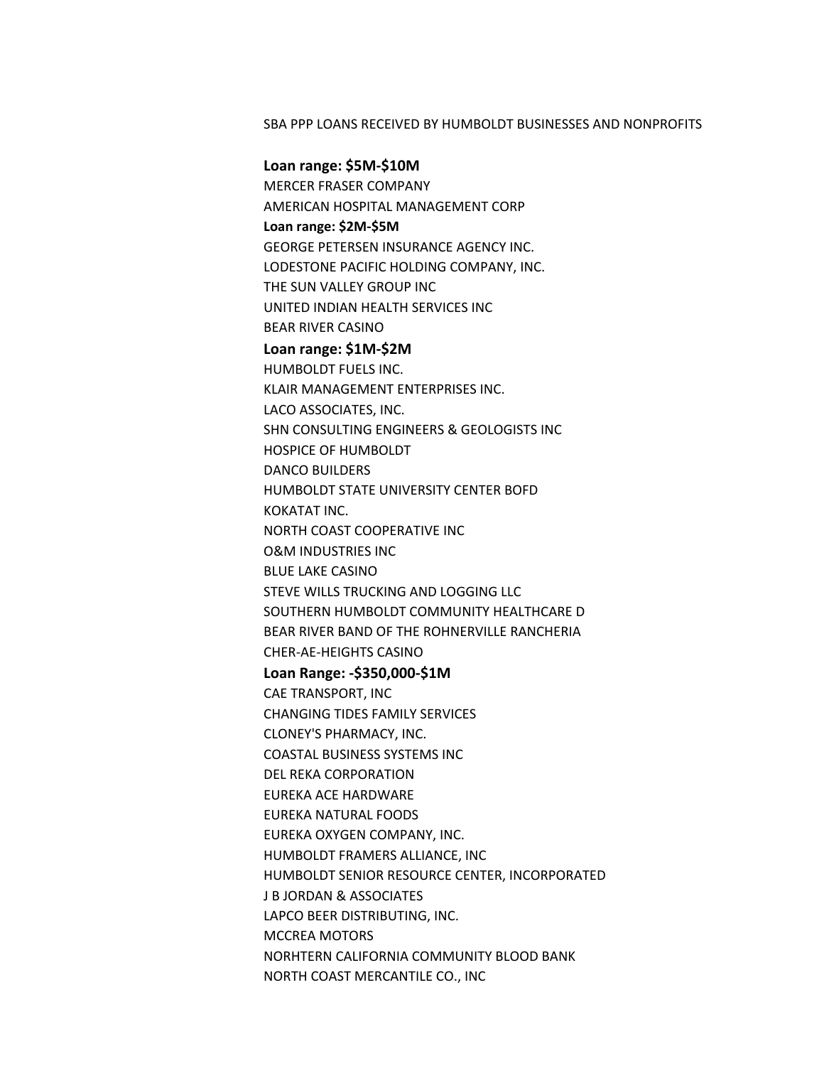## SBA PPP LOANS RECEIVED BY HUMBOLDT BUSINESSES AND NONPROFITS

**Loan range: \$5M-\$10M** MERCER FRASER COMPANY AMERICAN HOSPITAL MANAGEMENT CORP **Loan range: \$2M-\$5M** GEORGE PETERSEN INSURANCE AGENCY INC. LODESTONE PACIFIC HOLDING COMPANY, INC. THE SUN VALLEY GROUP INC UNITED INDIAN HEALTH SERVICES INC **BEAR RIVER CASINO Loan range: \$1M-\$2M** HUMBOLDT FUELS INC. KLAIR MANAGEMENT ENTERPRISES INC. LACO ASSOCIATES, INC. SHN CONSULTING ENGINEERS & GEOLOGISTS INC HOSPICE OF HUMBOLDT DANCO BUILDERS HUMBOLDT STATE UNIVERSITY CENTER BOFD KOKATAT INC. NORTH COAST COOPERATIVE INC O&M INDUSTRIES INC **BLUE LAKE CASINO** STEVE WILLS TRUCKING AND LOGGING LLC SOUTHERN HUMBOLDT COMMUNITY HEALTHCARE D BEAR RIVER BAND OF THE ROHNERVILLE RANCHERIA CHER-AE-HEIGHTS CASINO **Loan Range: -\$350,000-\$1M** CAE TRANSPORT, INC CHANGING TIDES FAMILY SERVICES CLONEY'S PHARMACY, INC. COASTAL BUSINESS SYSTEMS INC DEL REKA CORPORATION EUREKA ACE HARDWARE **EUREKA NATURAL FOODS** EUREKA OXYGEN COMPANY, INC. HUMBOLDT FRAMERS ALLIANCE, INC HUMBOLDT SENIOR RESOURCE CENTER, INCORPORATED **J B JORDAN & ASSOCIATES** LAPCO BEER DISTRIBUTING, INC. MCCREA MOTORS NORHTERN CALIFORNIA COMMUNITY BLOOD BANK NORTH COAST MERCANTILE CO., INC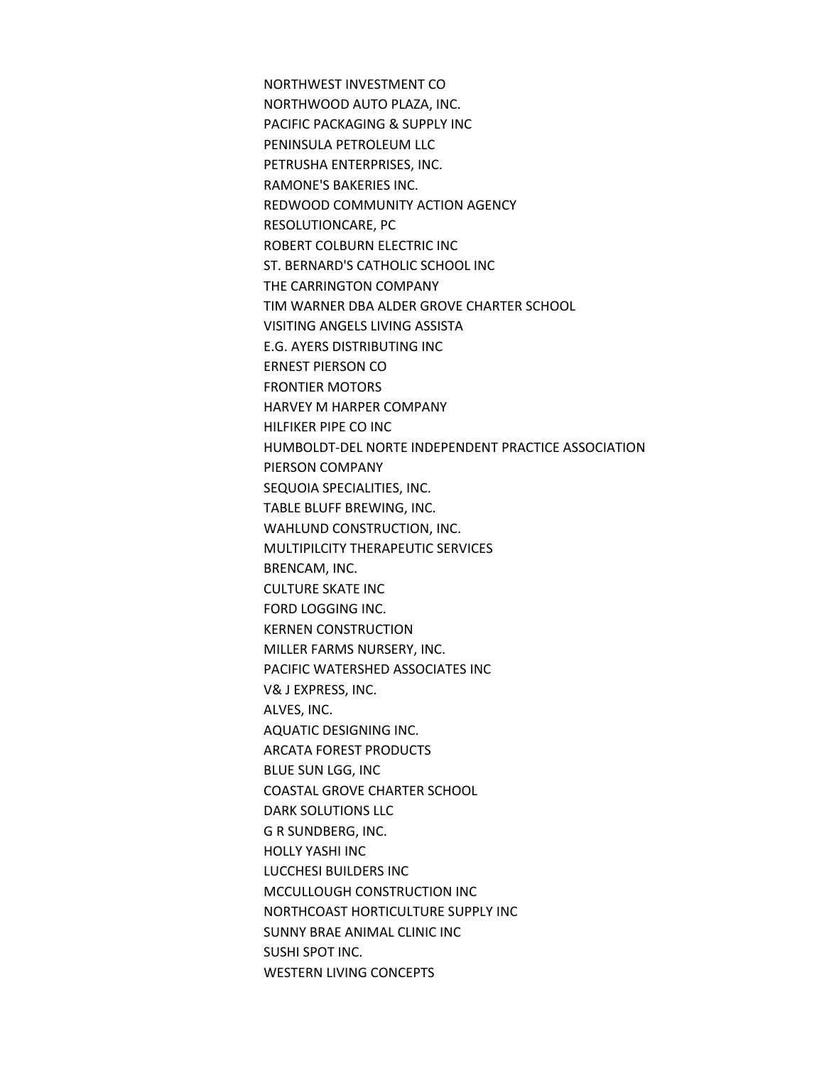NORTHWEST INVESTMENT CO NORTHWOOD AUTO PLAZA, INC. PACIFIC PACKAGING & SUPPLY INC PENINSULA PETROLEUM LLC PETRUSHA ENTERPRISES, INC. RAMONE'S BAKERIES INC. REDWOOD COMMUNITY ACTION AGENCY RESOLUTIONCARE, PC ROBERT COLBURN ELECTRIC INC ST. BERNARD'S CATHOLIC SCHOOL INC THE CARRINGTON COMPANY TIM WARNER DBA ALDER GROVE CHARTER SCHOOL VISITING ANGELS LIVING ASSISTA **E.G. AYERS DISTRIBUTING INC** ERNEST PIERSON CO **FRONTIER MOTORS** HARVEY M HARPER COMPANY HILFIKER PIPE CO INC HUMBOLDT-DEL NORTE INDEPENDENT PRACTICE ASSOCIATION PIERSON COMPANY SEQUOIA SPECIALITIES, INC. TABLE BLUFF BREWING, INC. WAHLUND CONSTRUCTION, INC. MULTIPILCITY THERAPEUTIC SERVICES BRENCAM, INC. **CULTURE SKATE INC** FORD LOGGING INC. **KERNEN CONSTRUCTION** MILLER FARMS NURSERY, INC. PACIFIC WATERSHED ASSOCIATES INC V& J EXPRESS, INC. ALVES, INC. **AQUATIC DESIGNING INC.** ARCATA FOREST PRODUCTS **BLUE SUN LGG, INC** COASTAL GROVE CHARTER SCHOOL DARK SOLUTIONS LLC **G R SUNDBERG, INC. HOLLY YASHI INC** LUCCHESI BUILDERS INC MCCULLOUGH CONSTRUCTION INC NORTHCOAST HORTICULTURE SUPPLY INC SUNNY BRAE ANIMAL CLINIC INC SUSHI SPOT INC. WESTERN LIVING CONCEPTS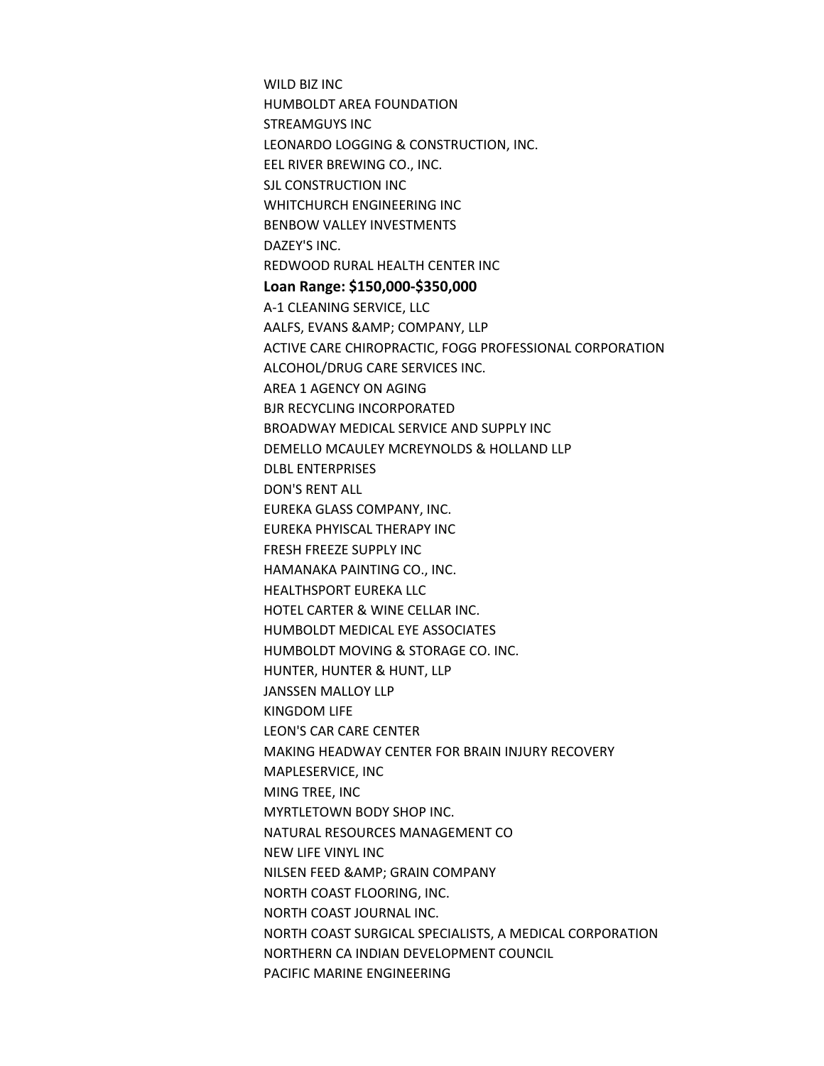WILD BIZ INC HUMBOLDT AREA FOUNDATION STREAMGUYS INC LEONARDO LOGGING & CONSTRUCTION, INC. EEL RIVER BREWING CO., INC. SJL CONSTRUCTION INC WHITCHURCH ENGINEERING INC BENBOW VALLEY INVESTMENTS DAZEY'S INC. REDWOOD RURAL HEALTH CENTER INC **Loan Range: \$150,000-\$350,000** A-1 CLEANING SERVICE, LLC AALFS, EVANS & AMP; COMPANY, LLP ACTIVE CARE CHIROPRACTIC, FOGG PROFESSIONAL CORPORATION ALCOHOL/DRUG CARE SERVICES INC. AREA 1 AGENCY ON AGING **BJR RECYCLING INCORPORATED** BROADWAY MEDICAL SERVICE AND SUPPLY INC DEMELLO MCAULEY MCREYNOLDS & HOLLAND LLP DLBL ENTERPRISES DON'S RENT ALL **EUREKA GLASS COMPANY, INC.** EUREKA PHYISCAL THERAPY INC FRESH FREEZE SUPPLY INC HAMANAKA PAINTING CO., INC. **HEALTHSPORT EUREKA LLC** HOTEL CARTER & WINE CELLAR INC. HUMBOLDT MEDICAL EYE ASSOCIATES HUMBOLDT MOVING & STORAGE CO. INC. HUNTER, HUNTER & HUNT, LLP JANSSEN MALLOY LLP KINGDOM LIFE LEON'S CAR CARE CENTER MAKING HEADWAY CENTER FOR BRAIN INJURY RECOVERY MAPLESERVICE, INC MING TREE, INC MYRTLETOWN BODY SHOP INC. NATURAL RESOURCES MANAGEMENT CO NEW LIFE VINYL INC NILSEN FEED & AMP; GRAIN COMPANY **NORTH COAST FLOORING, INC.** NORTH COAST JOURNAL INC. NORTH COAST SURGICAL SPECIALISTS, A MEDICAL CORPORATION NORTHERN CA INDIAN DEVELOPMENT COUNCIL PACIFIC MARINE ENGINEERING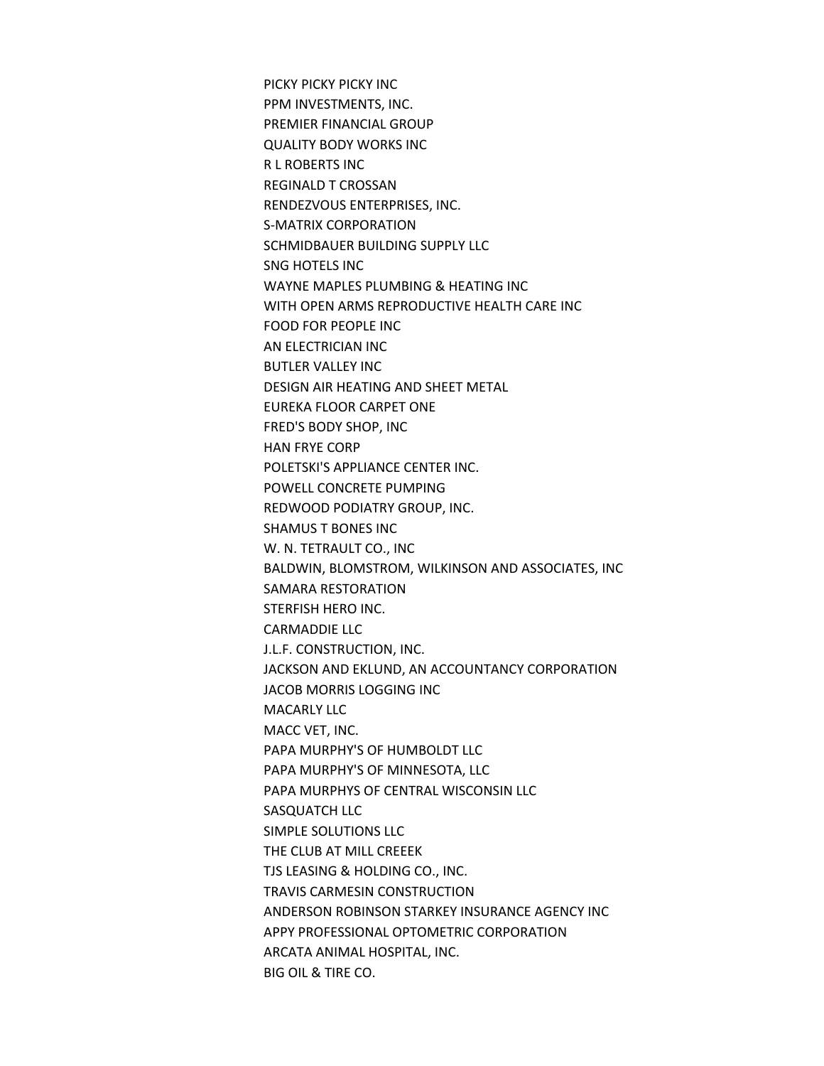PICKY PICKY PICKY INC PPM INVESTMENTS, INC. PREMIER FINANCIAL GROUP **QUALITY BODY WORKS INC RL ROBERTS INC** REGINALD T CROSSAN RENDEZVOUS ENTERPRISES, INC. S-MATRIX CORPORATION SCHMIDBAUER BUILDING SUPPLY LLC SNG HOTELS INC WAYNE MAPLES PLUMBING & HEATING INC WITH OPEN ARMS REPRODUCTIVE HEALTH CARE INC FOOD FOR PEOPLE INC AN ELECTRICIAN INC BUTLER VALLEY INC DESIGN AIR HEATING AND SHEET METAL EUREKA FLOOR CARPET ONE FRED'S BODY SHOP, INC HAN FRYE CORP POLETSKI'S APPLIANCE CENTER INC. POWELL CONCRETE PUMPING REDWOOD PODIATRY GROUP, INC. SHAMUS T BONES INC W. N. TETRAULT CO., INC BALDWIN, BLOMSTROM, WILKINSON AND ASSOCIATES, INC SAMARA RESTORATION STERFISH HERO INC. **CARMADDIE LLC** J.L.F. CONSTRUCTION, INC. JACKSON AND EKLUND, AN ACCOUNTANCY CORPORATION JACOB MORRIS LOGGING INC **MACARLY LLC** MACC VET, INC. PAPA MURPHY'S OF HUMBOLDT LLC PAPA MURPHY'S OF MINNESOTA, LLC PAPA MURPHYS OF CENTRAL WISCONSIN LLC SASQUATCH LLC SIMPLE SOLUTIONS LLC THE CLUB AT MILL CREEEK TJS LEASING & HOLDING CO., INC. TRAVIS CARMESIN CONSTRUCTION ANDERSON ROBINSON STARKEY INSURANCE AGENCY INC APPY PROFESSIONAL OPTOMETRIC CORPORATION ARCATA ANIMAL HOSPITAL, INC. BIG OIL & TIRE CO.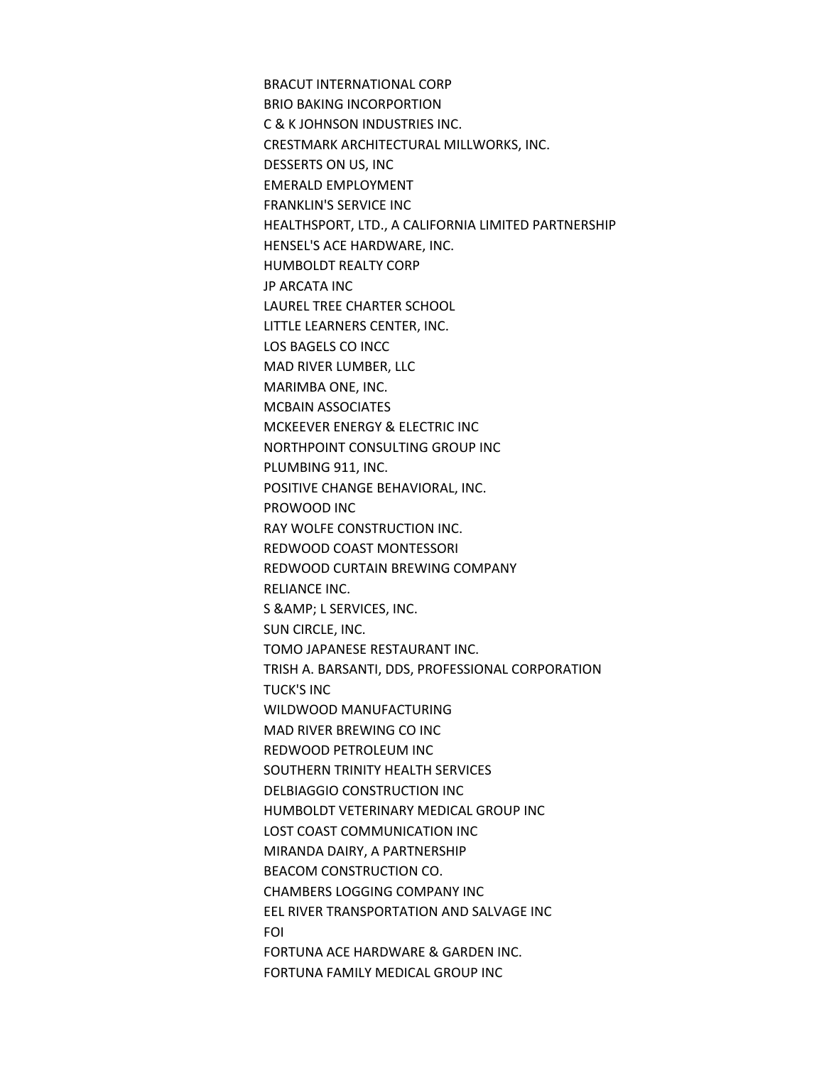BRACUT INTERNATIONAL CORP **BRIO BAKING INCORPORTION** C & K JOHNSON INDUSTRIES INC. CRESTMARK ARCHITECTURAL MILLWORKS, INC. DESSERTS ON US, INC EMERALD EMPLOYMENT FRANKLIN'S SERVICE INC HEALTHSPORT, LTD., A CALIFORNIA LIMITED PARTNERSHIP HENSEL'S ACE HARDWARE, INC. HUMBOLDT REALTY CORP JP ARCATA INC LAUREL TREE CHARTER SCHOOL LITTLE LEARNERS CENTER, INC. LOS BAGELS CO INCC MAD RIVER LUMBER, LLC MARIMBA ONE, INC. **MCBAIN ASSOCIATES** MCKEEVER ENERGY & ELECTRIC INC NORTHPOINT CONSULTING GROUP INC PLUMBING 911, INC. POSITIVE CHANGE BEHAVIORAL, INC. PROWOOD INC RAY WOLFE CONSTRUCTION INC. REDWOOD COAST MONTESSORI REDWOOD CURTAIN BREWING COMPANY RELIANCE INC. S & AMP; L SERVICES, INC. SUN CIRCLE, INC. TOMO JAPANESE RESTAURANT INC. TRISH A. BARSANTI, DDS, PROFESSIONAL CORPORATION **TUCK'S INC** WILDWOOD MANUFACTURING MAD RIVER BREWING CO INC REDWOOD PETROLEUM INC SOUTHERN TRINITY HEALTH SERVICES DELBIAGGIO CONSTRUCTION INC HUMBOLDT VETERINARY MEDICAL GROUP INC LOST COAST COMMUNICATION INC MIRANDA DAIRY, A PARTNERSHIP BEACOM CONSTRUCTION CO. CHAMBERS LOGGING COMPANY INC EEL RIVER TRANSPORTATION AND SALVAGE INC FOI FORTUNA ACE HARDWARE & GARDEN INC. FORTUNA FAMILY MEDICAL GROUP INC